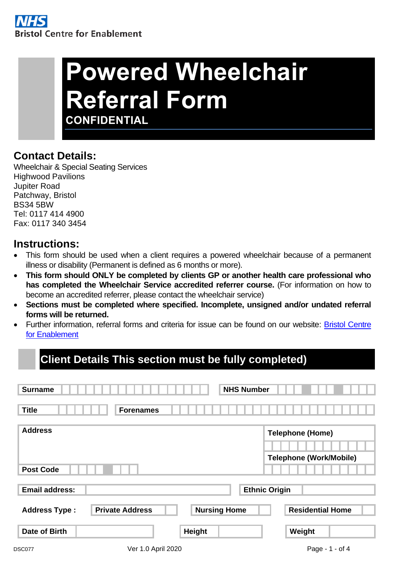# **Powered Wheelchair Referral Form CONFIDENTIAL**

### **Contact Details:**

Wheelchair & Special Seating Services Highwood Pavilions Jupiter Road Patchway, Bristol BS34 5BW Tel: 0117 414 4900 Fax: 0117 340 3454

### **Instructions:**

- This form should be used when a client requires a powered wheelchair because of a permanent illness or disability (Permanent is defined as 6 months or more).
- **This form should ONLY be completed by clients GP or another health care professional who has completed the Wheelchair Service accredited referrer course.** (For information on how to become an accredited referrer, please contact the wheelchair service)
- **Sections must be completed where specified. Incomplete, unsigned and/or undated referral forms will be returned.**
- Further information, referral forms and criteria for issue can be found on our website: [Bristol Centre](http://www.nbt.nhs.uk/bristol-centre-enablement)  [for Enablement](http://www.nbt.nhs.uk/bristol-centre-enablement)

# **Client Details This section must be fully completed)**

| <b>Surname</b>                     |                        |                     | <b>NHS Number</b>                                         |
|------------------------------------|------------------------|---------------------|-----------------------------------------------------------|
| <b>Title</b>                       | <b>Forenames</b>       |                     |                                                           |
| <b>Address</b><br><b>Post Code</b> |                        |                     | <b>Telephone (Home)</b><br><b>Telephone (Work/Mobile)</b> |
| <b>Email address:</b>              |                        |                     | <b>Ethnic Origin</b>                                      |
| <b>Address Type:</b>               | <b>Private Address</b> | <b>Nursing Home</b> | <b>Residential Home</b>                                   |
| <b>Date of Birth</b>               |                        | Height              | Weight                                                    |
| <b>DSC077</b>                      | Ver 1.0 April 2020     |                     | Page - 1 - of 4                                           |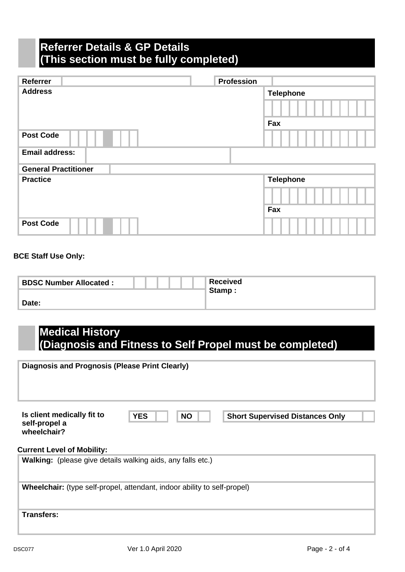## **Referrer Details & GP Details (This section must be fully completed)**

| Referrer                    | <b>Profession</b> |                  |
|-----------------------------|-------------------|------------------|
| <b>Address</b>              |                   | <b>Telephone</b> |
|                             |                   |                  |
|                             |                   | Fax              |
| <b>Post Code</b>            |                   |                  |
| <b>Email address:</b>       |                   |                  |
| <b>General Practitioner</b> |                   |                  |
| <b>Practice</b>             |                   | <b>Telephone</b> |
|                             |                   |                  |
|                             |                   | Fax              |
| <b>Post Code</b>            |                   |                  |

#### **BCE Staff Use Only:**

| <b>BDSC Number Allocated:</b> | <b>Received</b> |
|-------------------------------|-----------------|
|                               | Stamp:          |
| Date:                         |                 |

### **Medical History (Diagnosis and Fitness to Self Propel must be completed)**

| <b>Diagnosis and Prognosis (Please Print Clearly)</b>      |                                                                                 |                                        |
|------------------------------------------------------------|---------------------------------------------------------------------------------|----------------------------------------|
| Is client medically fit to<br>self-propel a<br>wheelchair? | <b>YES</b><br><b>NO</b>                                                         | <b>Short Supervised Distances Only</b> |
| <b>Current Level of Mobility:</b>                          | <b>Walking:</b> (please give details walking aids, any falls etc.)              |                                        |
|                                                            | <b>Wheelchair:</b> (type self-propel, attendant, indoor ability to self-propel) |                                        |
| <b>Transfers:</b>                                          |                                                                                 |                                        |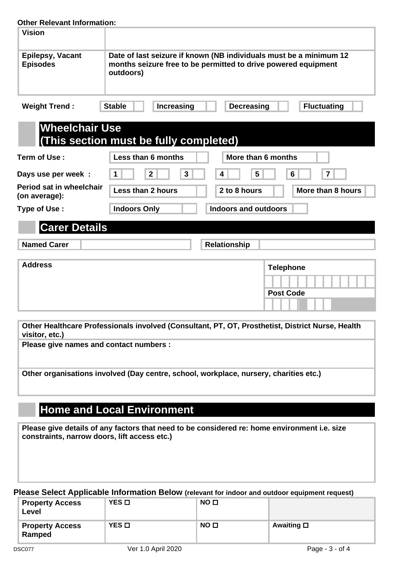#### **Other Relevant Information:**

| OUIGI INGIGVAHI IHIVIHIAUVII.                    |                                        |                                                                                                                                      |
|--------------------------------------------------|----------------------------------------|--------------------------------------------------------------------------------------------------------------------------------------|
| <b>Vision</b>                                    |                                        |                                                                                                                                      |
| Epilepsy, Vacant<br><b>Episodes</b>              | outdoors)                              | Date of last seizure if known (NB individuals must be a minimum 12<br>months seizure free to be permitted to drive powered equipment |
| <b>Weight Trend:</b>                             | Increasing<br><b>Stable</b>            | <b>Decreasing</b><br><b>Fluctuating</b>                                                                                              |
| <b>Wheelchair Use</b>                            | (This section must be fully completed) |                                                                                                                                      |
| Term of Use:                                     | Less than 6 months                     | More than 6 months                                                                                                                   |
| Days use per week :                              | $\mathbf{3}$<br>$\mathbf{2}$           | 5<br>6<br>$\overline{7}$<br>4                                                                                                        |
| <b>Period sat in wheelchair</b><br>(on average): | Less than 2 hours                      | 2 to 8 hours<br>More than 8 hours                                                                                                    |
| Type of Use:                                     | <b>Indoors Only</b>                    | <b>Indoors and outdoors</b>                                                                                                          |
| <b>Carer Details</b>                             |                                        |                                                                                                                                      |
| <b>Named Carer</b>                               |                                        | <b>Relationship</b>                                                                                                                  |

| <b>Address</b> | <b>Telephone</b> |
|----------------|------------------|
|                |                  |
|                | <b>Post Code</b> |
|                |                  |

**Other Healthcare Professionals involved (Consultant, PT, OT, Prosthetist, District Nurse, Health visitor, etc.)**

**Please give names and contact numbers :**

**Other organisations involved (Day centre, school, workplace, nursery, charities etc.)**

# **Home and Local Environment**

**Please give details of any factors that need to be considered re: home environment i.e. size constraints, narrow doors, lift access etc.)**

**Please Select Applicable Information Below (relevant for indoor and outdoor equipment request)**

| <b>Property Access</b><br>Level  | YES O | NO <sub>0</sub> |                   |
|----------------------------------|-------|-----------------|-------------------|
| <b>Property Access</b><br>Ramped | YES □ | NO <sub>0</sub> | Awaiting <b>□</b> |